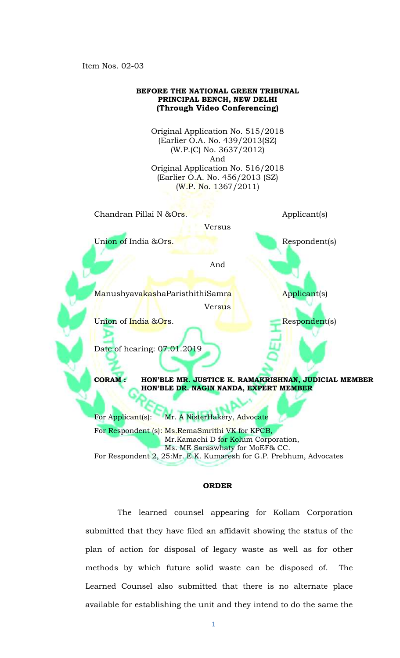Item Nos. 02-03



## **ORDER**

The learned counsel appearing for Kollam Corporation submitted that they have filed an affidavit showing the status of the plan of action for disposal of legacy waste as well as for other methods by which future solid waste can be disposed of. The Learned Counsel also submitted that there is no alternate place available for establishing the unit and they intend to do the same the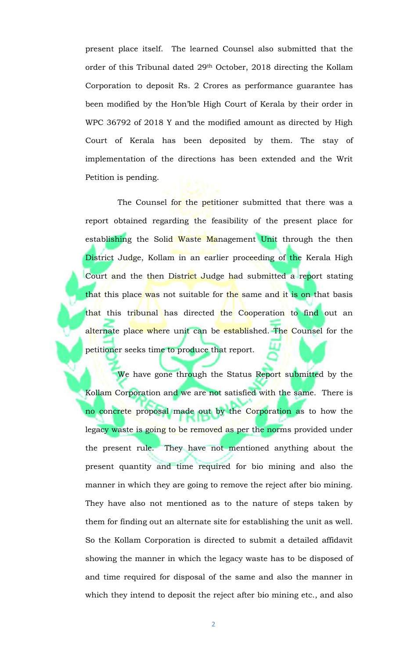present place itself. The learned Counsel also submitted that the order of this Tribunal dated 29th October, 2018 directing the Kollam Corporation to deposit Rs. 2 Crores as performance guarantee has been modified by the Hon'ble High Court of Kerala by their order in WPC 36792 of 2018 Y and the modified amount as directed by High Court of Kerala has been deposited by them. The stay of implementation of the directions has been extended and the Writ Petition is pending.

The Counsel for the petitioner submitted that there was a report obtained regarding the feasibility of the present place for establishing the Solid Waste Management Unit through the then District Judge, Kollam in an earlier proceeding of the Kerala High Court and the then District Judge had submitted a report stating that this place was not suitable for the same and it is on that basis that this tribunal has directed the Cooperation to find out an alternate place where unit can be established. The Counsel for the petitioner seeks time to produce that report.

We have gone through the Status Report submitted by the Kollam Corporation and we are not satisfied with the same. There is no concrete proposal made out by the Corporation as to how the legacy waste is going to be removed as per the norms provided under the present rule. They have not mentioned anything about the present quantity and time required for bio mining and also the manner in which they are going to remove the reject after bio mining. They have also not mentioned as to the nature of steps taken by them for finding out an alternate site for establishing the unit as well. So the Kollam Corporation is directed to submit a detailed affidavit showing the manner in which the legacy waste has to be disposed of and time required for disposal of the same and also the manner in which they intend to deposit the reject after bio mining etc., and also